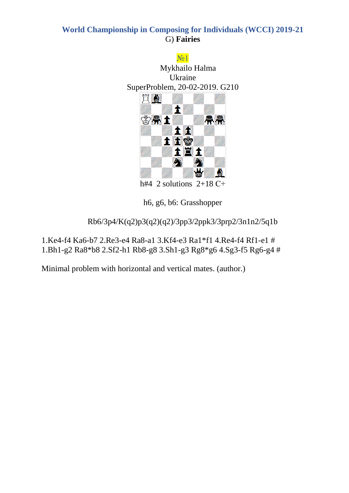

h#4 2 solutions  $2+18$  C+

h6, g6, b6: Grasshopper

Rb6/3p4/K(q2)p3(q2)(q2)/3pp3/2ppk3/3prp2/3n1n2/5q1b

1.Ke4-f4 Ka6-b7 2.Re3-e4 Ra8-a1 3.Kf4-e3 Ra1\*f1 4.Re4-f4 Rf1-e1 # 1.Bh1-g2 Ra8\*b8 2.Sf2-h1 Rb8-g8 3.Sh1-g3 Rg8\*g6 4.Sg3-f5 Rg6-g4 #

Minimal problem with horizontal and vertical mates. (author.)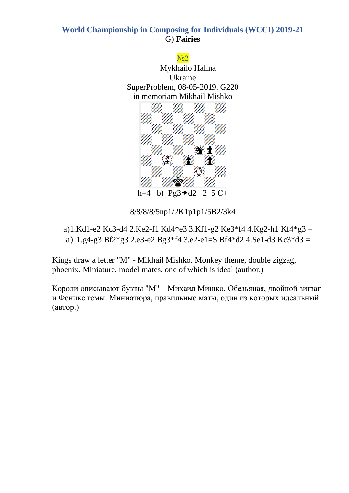

8/8/8/8/5np1/2K1p1p1/5B2/3k4

a)1.Kd1-e2 Kc3-d4 2.Ke2-f1 Kd4\*e3 3.Kf1-g2 Ke3\*f4 4.Kg2-h1 Kf4\*g3 = a)  $1.g4-g3 Bf2*g3 2.e3-e2 Bg3*f4 3.e2-e1=S Bf4*d2 4.Se1-d3 Kc3*d3 =$ 

Kings draw a letter "M" - Mikhail Mishko. Monkey theme, double zigzag, phoenix. Miniature, model mates, one of which is ideal (author.)

Короли описывают буквы "М" – Михаил Мишко. Обезьяная, двойной зигзаг и Феникс темы. Миниатюра, правильные маты, один из которых идеальный. (автор.)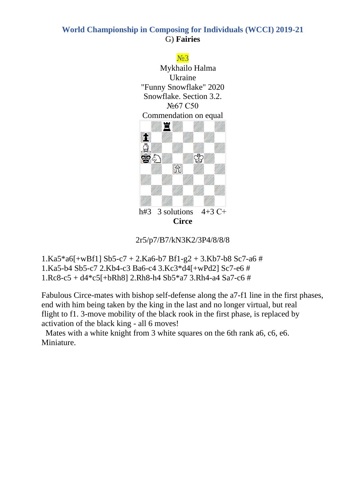

2r5/p7/B7/kN3K2/3P4/8/8/8

- $1.Ka5*a6[+wBf1] Sb5-c7 + 2.Ka6-b7 Bf1-g2 + 3.Kb7-b8 Sc7-a6 #$ 1.Ka5-b4 Sb5-c7 2.Kb4-c3 Ba6-c4 3.Kc3\*d4[+wPd2] Sc7-e6 #
- 1.Rc8-c5 + d4\*c5[+bRh8] 2.Rh8-h4 Sb5\*a7 3.Rh4-a4 Sa7-c6 #

Fabulous Circe-mates with bishop self-defense along the a7-f1 line in the first phases, end with him being taken by the king in the last and no longer virtual, but real flight to f1. 3-move mobility of the black rook in the first phase, is replaced by activation of the black king - all 6 moves!

 Mates with a white knight from 3 white squares on the 6th rank a6, c6, e6. Miniature.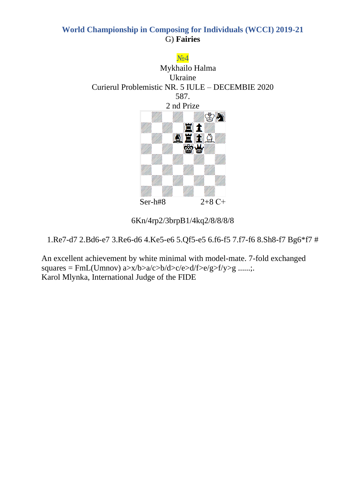

6Kn/4rp2/3brpB1/4kq2/8/8/8/8

1.Re7-d7 2.Bd6-e7 3.Re6-d6 4.Ke5-e6 5.Qf5-e5 6.f6-f5 7.f7-f6 8.Sh8-f7 Bg6\*f7 #

An excellent achievement by white minimal with model-mate. 7-fold exchanged  $squares = FmL(Umnov) a>x/b>a/c>b/d>c/e>d/f>e/g>f/y>g .....;$ Karol Mlynka, International Judge of the FIDE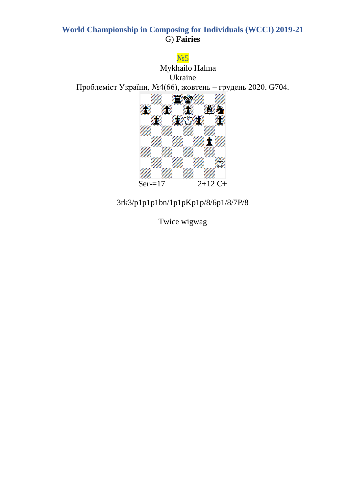$N<sub>25</sub>$ 

Mykhailo Halma Ukraine Проблеміст України, №4(66), жовтень - грудень 2020. G704.



# $3rk3/p1p1p1bn/1p1pKp1p/8/6p1/8/7P/8$

Twice wigwag